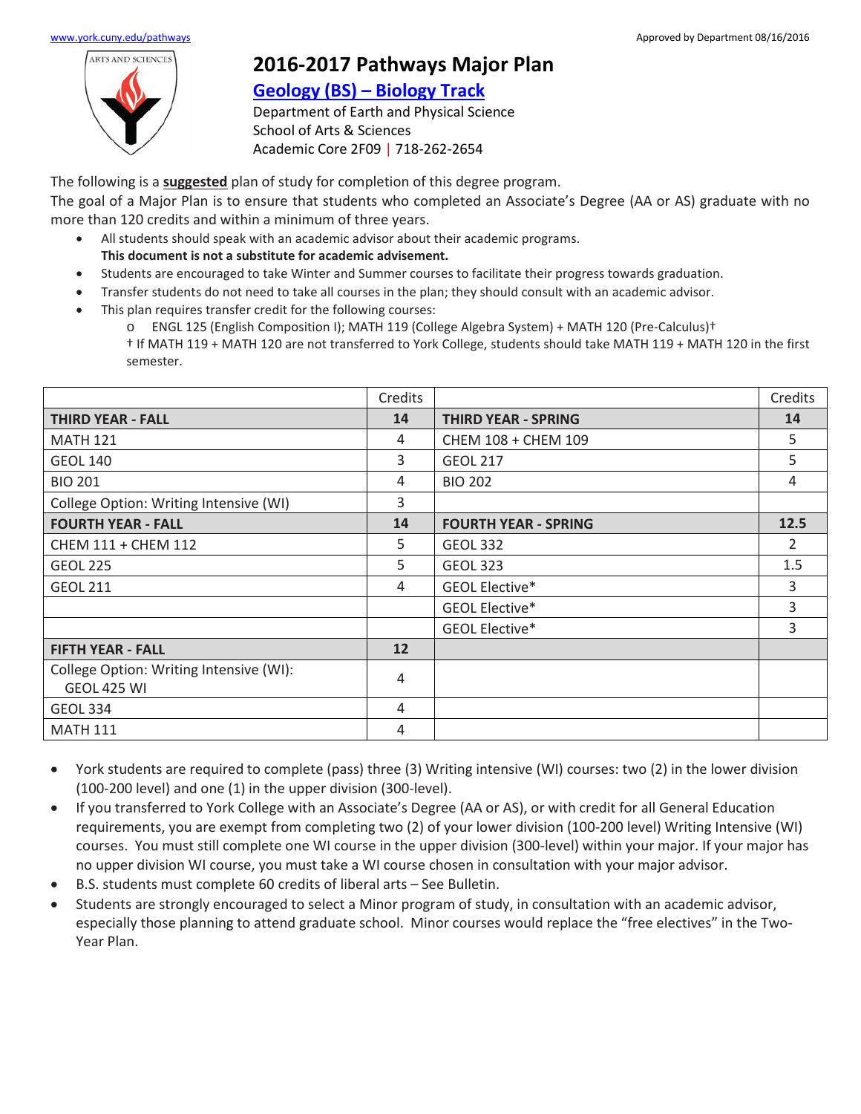

## **2016-2017 Pathways Major Plan**

## **[Geology \(BS\) –](https://www.york.cuny.edu/produce-and-print/contents/bulletin/school-of-arts-and-sciences/earth-and-physical-sciences/geology-bs) Biology Track**

Department of Earth and Physical Science School of Arts & Sciences Academic Core 2F09 | 718-262-2654

The following is a **suggested** plan of study for completion of this degree program.

The goal of a Major Plan is to ensure that students who completed an Associate's Degree (AA or AS) graduate with no more than 120 credits and within a minimum of three years.

- All students should speak with an academic advisor about their academic programs. **This document is not a substitute for academic advisement.**
- Students are encouraged to take Winter and Summer courses to facilitate their progress towards graduation.
- Transfer students do not need to take all courses in the plan; they should consult with an academic advisor.
- This plan requires transfer credit for the following courses:
	- o ENGL 125 (English Composition I); MATH 119 (College Algebra System) + MATH 120 (Pre-Calculus)†

† If MATH 119 + MATH 120 are not transferred to York College, students should take MATH 119 + MATH 120 in the first semester.

|                                                               | Credits |                             | Credits        |
|---------------------------------------------------------------|---------|-----------------------------|----------------|
| <b>THIRD YEAR - FALL</b>                                      | 14      | <b>THIRD YEAR - SPRING</b>  | 14             |
| <b>MATH 121</b>                                               | 4       | 5.<br>CHEM 108 + CHEM 109   |                |
| <b>GEOL 140</b>                                               | 3       | 5<br><b>GEOL 217</b>        |                |
| <b>BIO 201</b>                                                | 4       | 4<br><b>BIO 202</b>         |                |
| College Option: Writing Intensive (WI)                        | 3       |                             |                |
| <b>FOURTH YEAR - FALL</b>                                     | 14      | <b>FOURTH YEAR - SPRING</b> | 12.5           |
| CHEM 111 + CHEM 112                                           | 5       | <b>GEOL 332</b>             | $\overline{2}$ |
| <b>GEOL 225</b>                                               | 5       | 1.5<br><b>GEOL 323</b>      |                |
| <b>GEOL 211</b>                                               | 4       | 3<br>GEOL Elective*         |                |
|                                                               |         | GEOL Elective*              | 3              |
|                                                               |         | GEOL Elective*              | 3              |
| <b>FIFTH YEAR - FALL</b>                                      | 12      |                             |                |
| College Option: Writing Intensive (WI):<br><b>GEOL 425 WI</b> | 4       |                             |                |
| <b>GEOL 334</b>                                               | 4       |                             |                |
| <b>MATH 111</b>                                               | 4       |                             |                |

- York students are required to complete (pass) three (3) Writing intensive (WI) courses: two (2) in the lower division (100-200 level) and one (1) in the upper division (300-level).
- If you transferred to York College with an Associate's Degree (AA or AS), or with credit for all General Education requirements, you are exempt from completing two (2) of your lower division (100-200 level) Writing Intensive (WI) courses. You must still complete one WI course in the upper division (300-level) within your major. If your major has no upper division WI course, you must take a WI course chosen in consultation with your major advisor.
- B.S. students must complete 60 credits of liberal arts See Bulletin.
- Students are strongly encouraged to select a Minor program of study, in consultation with an academic advisor, especially those planning to attend graduate school. Minor courses would replace the "free electives" in the Two-Year Plan.